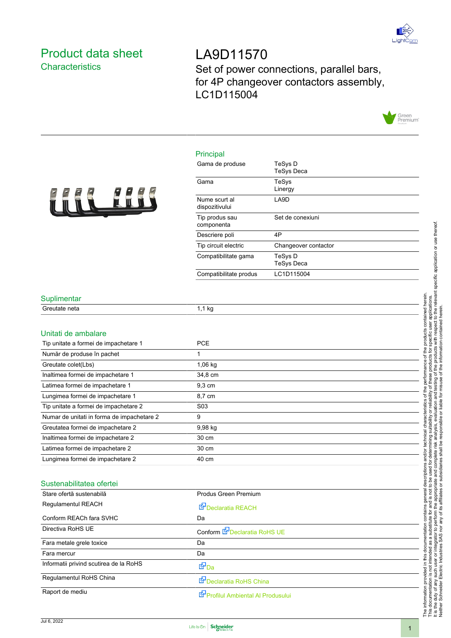

## Product data sheet **Characteristics**

LA9D11570 Set of power connections, parallel bars, for 4P changeover contactors assembly, LC1D115004



## Principal



| Gama de produse                 | TeSys D<br><b>TeSys Deca</b> |
|---------------------------------|------------------------------|
| Gama                            | TeSys<br>Linergy             |
| Nume scurt al<br>dispozitivului | LA9D                         |
| Tip produs sau<br>componenta    | Set de conexiuni             |
| Descriere poli                  | 4P                           |
| Tip circuit electric            | Changeover contactor         |
| Compatibilitate gama            | TeSys D<br><b>TeSys Deca</b> |
| Compatibilitate produs          | LC1D115004                   |

### **Suplimentar**

| Unitati de ambalare                        |                  |
|--------------------------------------------|------------------|
| Tip unitate a formei de impachetare 1      | <b>PCE</b>       |
| Număr de produse în pachet                 |                  |
| Greutate colet(Lbs)                        | $1,06$ kg        |
| Inaltimea formei de impachetare 1          | 34,8 cm          |
| Latimea formei de impachetare 1            | 9,3 cm           |
| Lungimea formei de impachetare 1           | 8,7 cm           |
| Tip unitate a formei de impachetare 2      | S <sub>0</sub> 3 |
| Numar de unitati in forma de impachetare 2 | 9                |
| Greutatea formei de impachetare 2          | 9,98 kg          |
| Inaltimea formei de impachetare 2          | 30 cm            |
| Latimea formei de impachetare 2            | 30 cm            |
| Lungimea formei de impachetare 2           | 40 cm            |

#### Sustenabilitatea ofertei

| Stare ofertă sustenabilă               | Produs Green Premium             |  |
|----------------------------------------|----------------------------------|--|
| Regulamentul REACH                     | Declaratia REACH                 |  |
| Conform REACh fara SVHC                | Da                               |  |
| Directiva RoHS UE                      | Conform E Declaratia RoHS UE     |  |
| Fara metale grele toxice               | Da                               |  |
| Fara mercur                            | Da                               |  |
| Informatii privind scutirea de la RoHS | t"Da                             |  |
| Regulamentul RoHS China                | Declaratia RoHS China            |  |
| Raport de mediu                        | Profilul Ambiental Al Produsului |  |